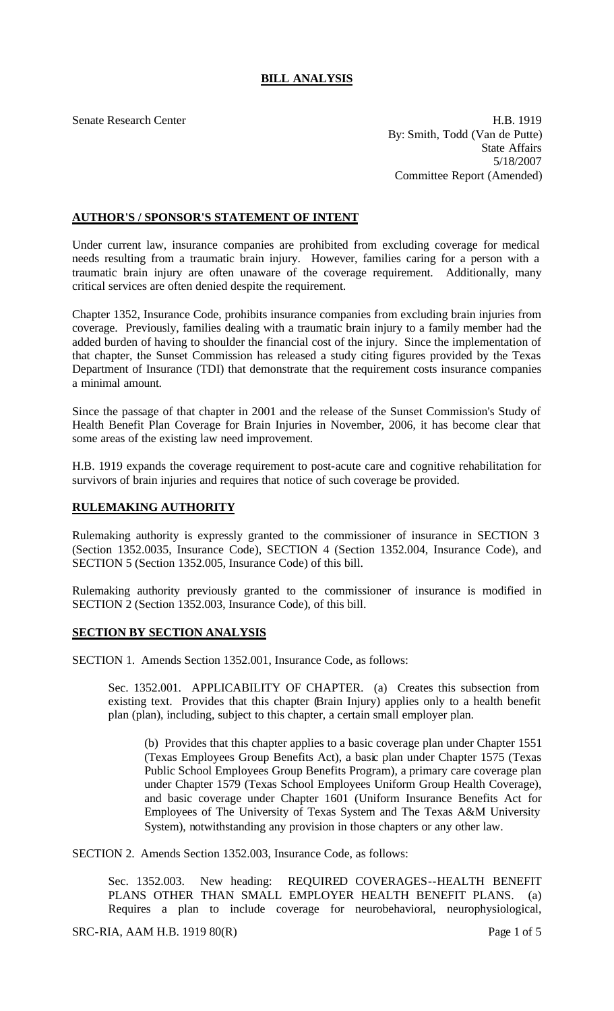# **BILL ANALYSIS**

Senate Research Center **H.B. 1919** By: Smith, Todd (Van de Putte) State Affairs 5/18/2007 Committee Report (Amended)

## **AUTHOR'S / SPONSOR'S STATEMENT OF INTENT**

Under current law, insurance companies are prohibited from excluding coverage for medical needs resulting from a traumatic brain injury. However, families caring for a person with a traumatic brain injury are often unaware of the coverage requirement. Additionally, many critical services are often denied despite the requirement.

Chapter 1352, Insurance Code, prohibits insurance companies from excluding brain injuries from coverage. Previously, families dealing with a traumatic brain injury to a family member had the added burden of having to shoulder the financial cost of the injury. Since the implementation of that chapter, the Sunset Commission has released a study citing figures provided by the Texas Department of Insurance (TDI) that demonstrate that the requirement costs insurance companies a minimal amount.

Since the passage of that chapter in 2001 and the release of the Sunset Commission's Study of Health Benefit Plan Coverage for Brain Injuries in November, 2006, it has become clear that some areas of the existing law need improvement.

H.B. 1919 expands the coverage requirement to post-acute care and cognitive rehabilitation for survivors of brain injuries and requires that notice of such coverage be provided.

## **RULEMAKING AUTHORITY**

Rulemaking authority is expressly granted to the commissioner of insurance in SECTION 3 (Section 1352.0035, Insurance Code), SECTION 4 (Section 1352.004, Insurance Code), and SECTION 5 (Section 1352.005, Insurance Code) of this bill.

Rulemaking authority previously granted to the commissioner of insurance is modified in SECTION 2 (Section 1352.003, Insurance Code), of this bill.

## **SECTION BY SECTION ANALYSIS**

SECTION 1. Amends Section 1352.001, Insurance Code, as follows:

Sec. 1352.001. APPLICABILITY OF CHAPTER. (a) Creates this subsection from existing text. Provides that this chapter (Brain Injury) applies only to a health benefit plan (plan), including, subject to this chapter, a certain small employer plan.

(b) Provides that this chapter applies to a basic coverage plan under Chapter 1551 (Texas Employees Group Benefits Act), a basic plan under Chapter 1575 (Texas Public School Employees Group Benefits Program), a primary care coverage plan under Chapter 1579 (Texas School Employees Uniform Group Health Coverage), and basic coverage under Chapter 1601 (Uniform Insurance Benefits Act for Employees of The University of Texas System and The Texas A&M University System), notwithstanding any provision in those chapters or any other law.

SECTION 2. Amends Section 1352.003, Insurance Code, as follows:

Sec. 1352.003. New heading: REQUIRED COVERAGES--HEALTH BENEFIT PLANS OTHER THAN SMALL EMPLOYER HEALTH BENEFIT PLANS. (a) Requires a plan to include coverage for neurobehavioral, neurophysiological,

SRC-RIA, AAM H.B. 1919  $80(R)$  Page 1 of 5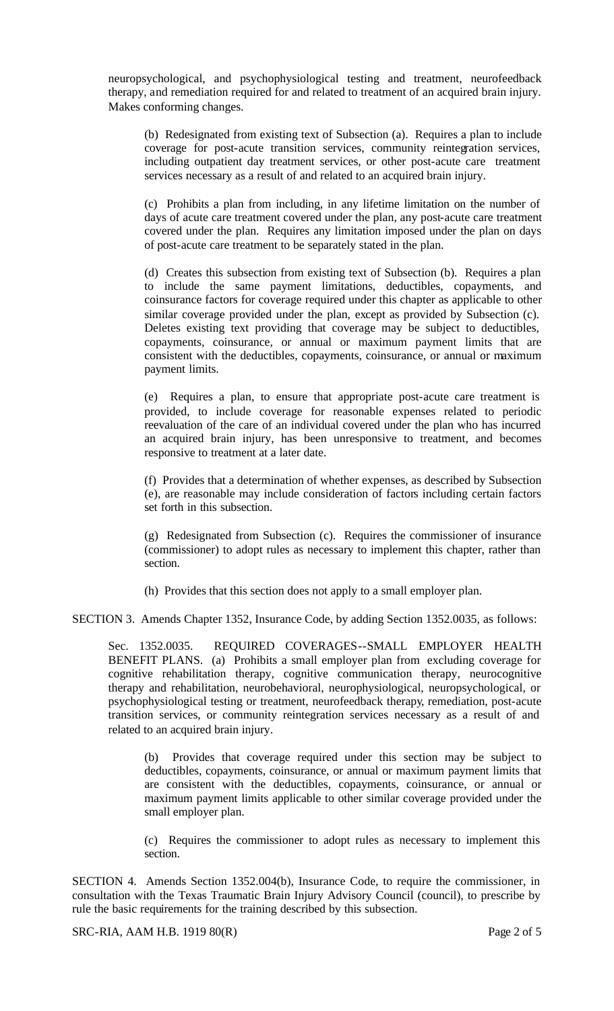neuropsychological, and psychophysiological testing and treatment, neurofeedback therapy, and remediation required for and related to treatment of an acquired brain injury. Makes conforming changes.

(b) Redesignated from existing text of Subsection (a). Requires a plan to include coverage for post-acute transition services, community reintegration services, including outpatient day treatment services, or other post-acute care treatment services necessary as a result of and related to an acquired brain injury.

(c) Prohibits a plan from including, in any lifetime limitation on the number of days of acute care treatment covered under the plan, any post-acute care treatment covered under the plan. Requires any limitation imposed under the plan on days of post-acute care treatment to be separately stated in the plan.

(d) Creates this subsection from existing text of Subsection (b). Requires a plan to include the same payment limitations, deductibles, copayments, and coinsurance factors for coverage required under this chapter as applicable to other similar coverage provided under the plan, except as provided by Subsection (c). Deletes existing text providing that coverage may be subject to deductibles, copayments, coinsurance, or annual or maximum payment limits that are consistent with the deductibles, copayments, coinsurance, or annual or maximum payment limits.

(e) Requires a plan, to ensure that appropriate post-acute care treatment is provided, to include coverage for reasonable expenses related to periodic reevaluation of the care of an individual covered under the plan who has incurred an acquired brain injury, has been unresponsive to treatment, and becomes responsive to treatment at a later date.

(f) Provides that a determination of whether expenses, as described by Subsection (e), are reasonable may include consideration of factors including certain factors set forth in this subsection.

(g) Redesignated from Subsection (c). Requires the commissioner of insurance (commissioner) to adopt rules as necessary to implement this chapter, rather than section.

(h) Provides that this section does not apply to a small employer plan.

SECTION 3. Amends Chapter 1352, Insurance Code, by adding Section 1352.0035, as follows:

Sec. 1352.0035. REQUIRED COVERAGES--SMALL EMPLOYER HEALTH BENEFIT PLANS. (a) Prohibits a small employer plan from excluding coverage for cognitive rehabilitation therapy, cognitive communication therapy, neurocognitive therapy and rehabilitation, neurobehavioral, neurophysiological, neuropsychological, or psychophysiological testing or treatment, neurofeedback therapy, remediation, post-acute transition services, or community reintegration services necessary as a result of and related to an acquired brain injury.

(b) Provides that coverage required under this section may be subject to deductibles, copayments, coinsurance, or annual or maximum payment limits that are consistent with the deductibles, copayments, coinsurance, or annual or maximum payment limits applicable to other similar coverage provided under the small employer plan.

(c) Requires the commissioner to adopt rules as necessary to implement this section.

SECTION 4. Amends Section 1352.004(b), Insurance Code, to require the commissioner, in consultation with the Texas Traumatic Brain Injury Advisory Council (council), to prescribe by rule the basic requirements for the training described by this subsection.

SRC-RIA, AAM H.B. 1919  $80(R)$  Page 2 of 5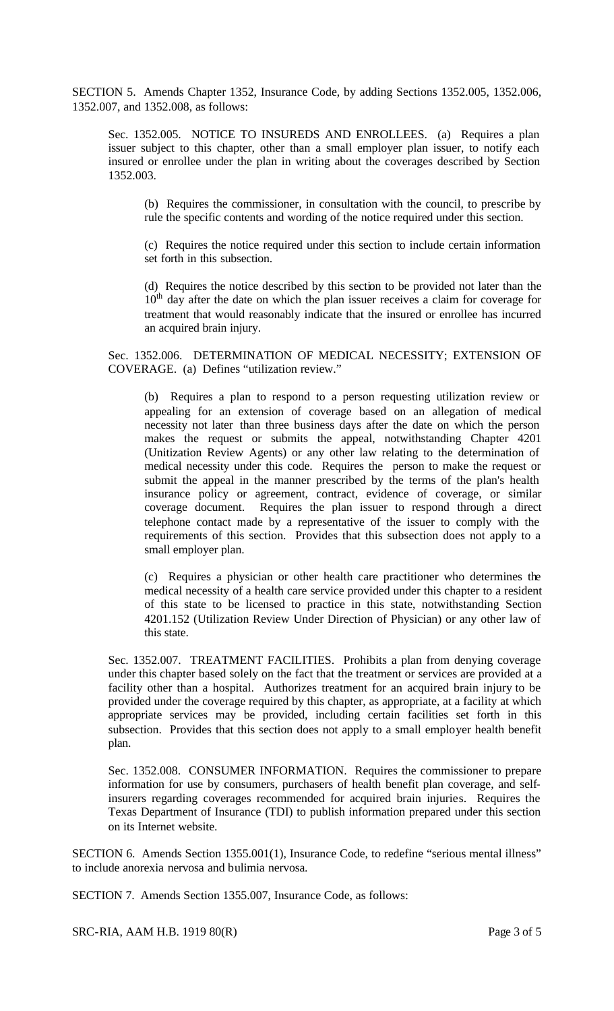SECTION 5. Amends Chapter 1352, Insurance Code, by adding Sections 1352.005, 1352.006, 1352.007, and 1352.008, as follows:

Sec. 1352.005. NOTICE TO INSUREDS AND ENROLLEES. (a) Requires a plan issuer subject to this chapter, other than a small employer plan issuer, to notify each insured or enrollee under the plan in writing about the coverages described by Section 1352.003.

(b) Requires the commissioner, in consultation with the council, to prescribe by rule the specific contents and wording of the notice required under this section.

(c) Requires the notice required under this section to include certain information set forth in this subsection.

(d) Requires the notice described by this section to be provided not later than the  $10<sup>th</sup>$  day after the date on which the plan issuer receives a claim for coverage for treatment that would reasonably indicate that the insured or enrollee has incurred an acquired brain injury.

Sec. 1352.006. DETERMINATION OF MEDICAL NECESSITY; EXTENSION OF COVERAGE. (a) Defines "utilization review."

(b) Requires a plan to respond to a person requesting utilization review or appealing for an extension of coverage based on an allegation of medical necessity not later than three business days after the date on which the person makes the request or submits the appeal, notwithstanding Chapter 4201 (Unitization Review Agents) or any other law relating to the determination of medical necessity under this code. Requires the person to make the request or submit the appeal in the manner prescribed by the terms of the plan's health insurance policy or agreement, contract, evidence of coverage, or similar coverage document. Requires the plan issuer to respond through a direct telephone contact made by a representative of the issuer to comply with the requirements of this section. Provides that this subsection does not apply to a small employer plan.

(c) Requires a physician or other health care practitioner who determines the medical necessity of a health care service provided under this chapter to a resident of this state to be licensed to practice in this state, notwithstanding Section 4201.152 (Utilization Review Under Direction of Physician) or any other law of this state.

Sec. 1352.007. TREATMENT FACILITIES. Prohibits a plan from denying coverage under this chapter based solely on the fact that the treatment or services are provided at a facility other than a hospital. Authorizes treatment for an acquired brain injury to be provided under the coverage required by this chapter, as appropriate, at a facility at which appropriate services may be provided, including certain facilities set forth in this subsection. Provides that this section does not apply to a small employer health benefit plan.

Sec. 1352.008. CONSUMER INFORMATION. Requires the commissioner to prepare information for use by consumers, purchasers of health benefit plan coverage, and selfinsurers regarding coverages recommended for acquired brain injuries. Requires the Texas Department of Insurance (TDI) to publish information prepared under this section on its Internet website.

SECTION 6. Amends Section 1355.001(1), Insurance Code, to redefine "serious mental illness" to include anorexia nervosa and bulimia nervosa.

SECTION 7. Amends Section 1355.007, Insurance Code, as follows:

SRC-RIA, AAM H.B. 1919  $80(R)$  Page 3 of 5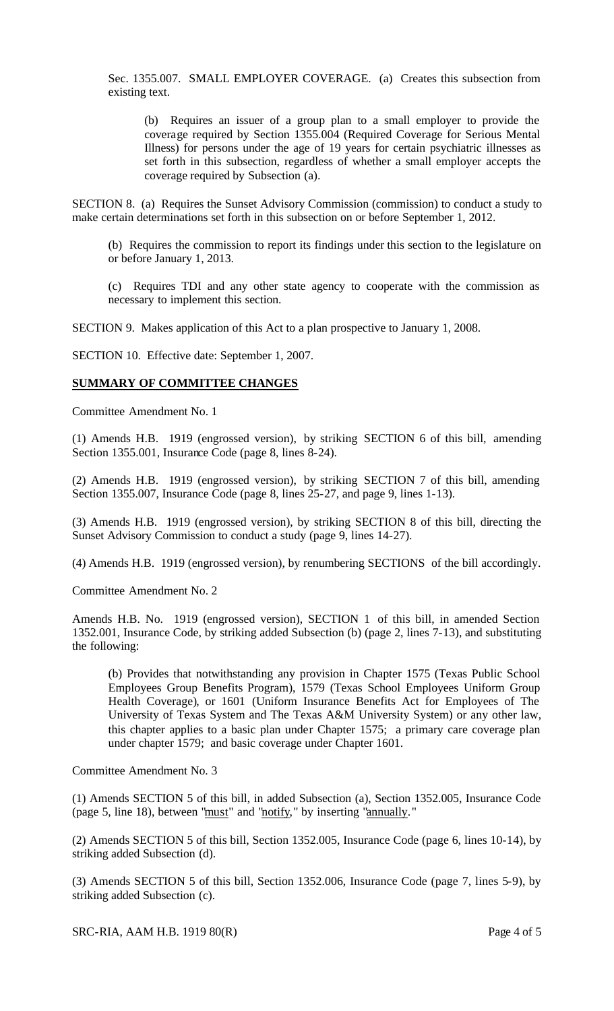Sec. 1355.007. SMALL EMPLOYER COVERAGE. (a) Creates this subsection from existing text.

(b) Requires an issuer of a group plan to a small employer to provide the coverage required by Section 1355.004 (Required Coverage for Serious Mental Illness) for persons under the age of 19 years for certain psychiatric illnesses as set forth in this subsection, regardless of whether a small employer accepts the coverage required by Subsection (a).

SECTION 8. (a) Requires the Sunset Advisory Commission (commission) to conduct a study to make certain determinations set forth in this subsection on or before September 1, 2012.

(b) Requires the commission to report its findings under this section to the legislature on or before January 1, 2013.

(c) Requires TDI and any other state agency to cooperate with the commission as necessary to implement this section.

SECTION 9. Makes application of this Act to a plan prospective to January 1, 2008.

SECTION 10. Effective date: September 1, 2007.

#### **SUMMARY OF COMMITTEE CHANGES**

Committee Amendment No. 1

(1) Amends H.B. 1919 (engrossed version), by striking SECTION 6 of this bill, amending Section 1355.001, Insurance Code (page 8, lines 8-24).

(2) Amends H.B. 1919 (engrossed version), by striking SECTION 7 of this bill, amending Section 1355.007, Insurance Code (page 8, lines 25-27, and page 9, lines 1-13).

(3) Amends H.B. 1919 (engrossed version), by striking SECTION 8 of this bill, directing the Sunset Advisory Commission to conduct a study (page 9, lines 14-27).

(4) Amends H.B. 1919 (engrossed version), by renumbering SECTIONS of the bill accordingly.

Committee Amendment No. 2

Amends H.B. No. 1919 (engrossed version), SECTION 1 of this bill, in amended Section 1352.001, Insurance Code, by striking added Subsection (b) (page 2, lines 7-13), and substituting the following:

(b) Provides that notwithstanding any provision in Chapter 1575 (Texas Public School Employees Group Benefits Program), 1579 (Texas School Employees Uniform Group Health Coverage), or 1601 (Uniform Insurance Benefits Act for Employees of The University of Texas System and The Texas A&M University System) or any other law, this chapter applies to a basic plan under Chapter 1575; a primary care coverage plan under chapter 1579; and basic coverage under Chapter 1601.

Committee Amendment No. 3

(1) Amends SECTION 5 of this bill, in added Subsection (a), Section 1352.005, Insurance Code (page 5, line 18), between "must" and "notify," by inserting "annually."

(2) Amends SECTION 5 of this bill, Section 1352.005, Insurance Code (page 6, lines 10-14), by striking added Subsection (d).

(3) Amends SECTION 5 of this bill, Section 1352.006, Insurance Code (page 7, lines 5-9), by striking added Subsection (c).

SRC-RIA, AAM H.B. 1919  $80(R)$  Page 4 of 5